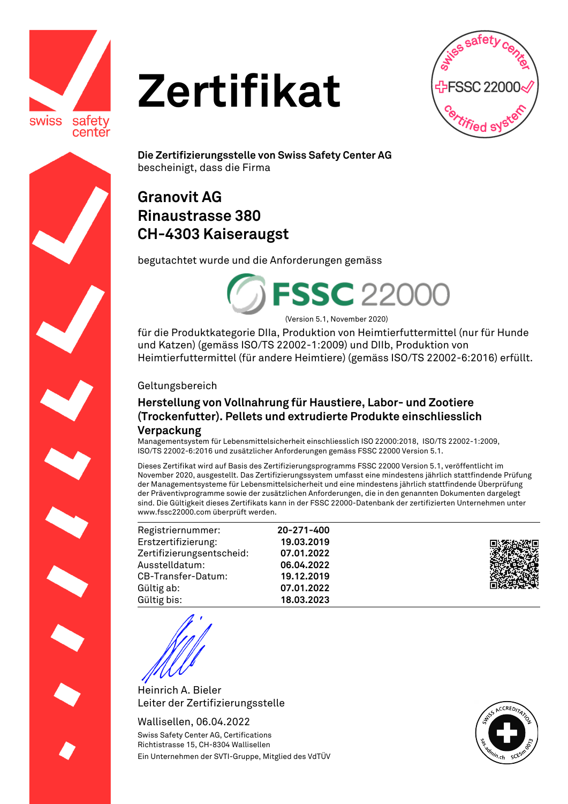

# **Zertifikat**



**Die Zertifizierungsstelle von Swiss Safety Center AG**  bescheinigt, dass die Firma

## **Granovit AG Rinaustrasse 380 CH-4303 Kaiseraugst**

begutachtet wurde und die Anforderungen gemäss



(Version 5.1, November 2020)

für die Produktkategorie DIIa, Produktion von Heimtierfuttermittel (nur für Hunde und Katzen) (gemäss ISO/TS 22002-1:2009) und DIIb, Produktion von Heimtierfuttermittel (für andere Heimtiere) (gemäss ISO/TS 22002-6:2016) erfüllt.

#### Geltungsbereich

### **Herstellung von Vollnahrung für Haustiere, Labor- und Zootiere (Trockenfutter). Pellets und extrudierte Produkte einschliesslich Verpackung**

**20-271-400 19.03.2019 07.01.2022 06.04.2022 19.12.2019 07.01.2022 18.03.2023**

Managementsystem für Lebensmittelsicherheit einschliesslich ISO 22000:2018, ISO/TS 22002-1:2009, ISO/TS 22002-6:2016 und zusätzlicher Anforderungen gemäss FSSC 22000 Version 5.1.

Dieses Zertifikat wird auf Basis des Zertifizierungsprogramms FSSC 22000 Version 5.1, veröffentlicht im November 2020, ausgestellt. Das Zertifizierungssystem umfasst eine mindestens jährlich stattfindende Prüfung der Managementsysteme für Lebensmittelsicherheit und eine mindestens jährlich stattfindende Überprüfung der Präventivprogramme sowie der zusätzlichen Anforderungen, die in den genannten Dokumenten dargelegt sind. Die Gültigkeit dieses Zertifikats kann in der FSSC 22000-Datenbank der zertifizierten Unternehmen unter www.fssc22000.com überprüft werden.

| Registriernummer:         |  |
|---------------------------|--|
| Erstzertifizierung:       |  |
| Zertifizierungsentscheid: |  |
| Ausstelldatum:            |  |
| CB-Transfer-Datum:        |  |
| Gültig ab:                |  |
| Gültig bis:               |  |



Heinrich A. Bieler Leiter der Zertifizierungsstelle

Wallisellen, 06.04.2022 Swiss Safety Center AG, Certifications Richtistrasse 15, CH-8304 Wallisellen Ein Unternehmen der SVTI-Gruppe, Mitglied des VdTÜV